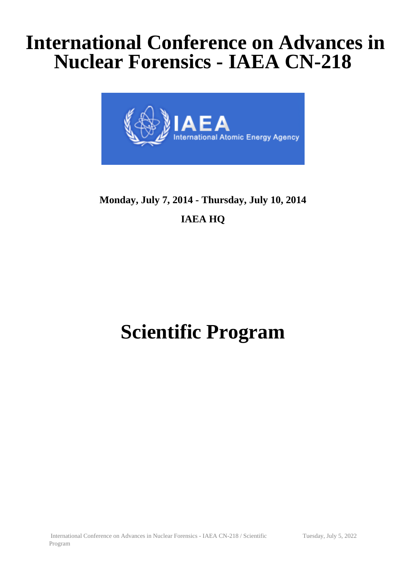## **International Conference on Advances in Nuclear Forensics - IAEA CN-218**



### **Monday, July 7, 2014 - Thursday, July 10, 2014 IAEA HQ**

# **Scientific Program**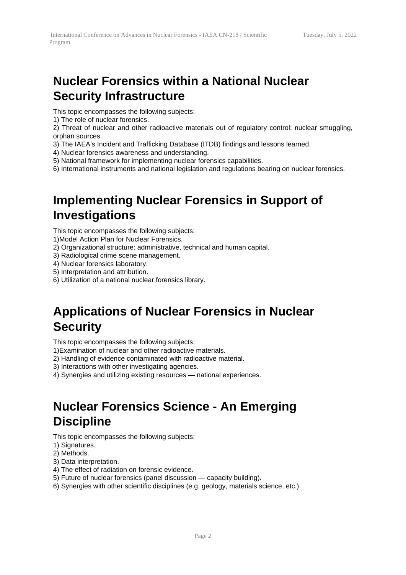#### **Nuclear Forensics within a National Nuclear Security Infrastructure**

This topic encompasses the following subjects:

1) The role of nuclear forensics.

2) Threat of nuclear and other radioactive materials out of regulatory control: nuclear smuggling, orphan sources.

- 3) The IAEA's Incident and Trafficking Database (ITDB) findings and lessons learned.
- 4) Nuclear forensics awareness and understanding.
- 5) National framework for implementing nuclear forensics capabilities.
- 6) International instruments and national legislation and regulations bearing on nuclear forensics.

#### **Implementing Nuclear Forensics in Support of Investigations**

This topic encompasses the following subjects:

- 1)Model Action Plan for Nuclear Forensics.
- 2) Organizational structure: administrative, technical and human capital.
- 3) Radiological crime scene management.
- 4) Nuclear forensics laboratory.
- 5) Interpretation and attribution.
- 6) Utilization of a national nuclear forensics library.

#### **Applications of Nuclear Forensics in Nuclear Security**

This topic encompasses the following subjects:

- 1)Examination of nuclear and other radioactive materials.
- 2) Handling of evidence contaminated with radioactive material.
- 3) Interactions with other investigating agencies.
- 4) Synergies and utilizing existing resources national experiences.

#### **Nuclear Forensics Science - An Emerging Discipline**

This topic encompasses the following subjects:

- 1) Signatures.
- 2) Methods.
- 3) Data interpretation.
- 4) The effect of radiation on forensic evidence.
- 5) Future of nuclear forensics (panel discussion capacity building).
- 6) Synergies with other scientific disciplines (e.g. geology, materials science, etc.).